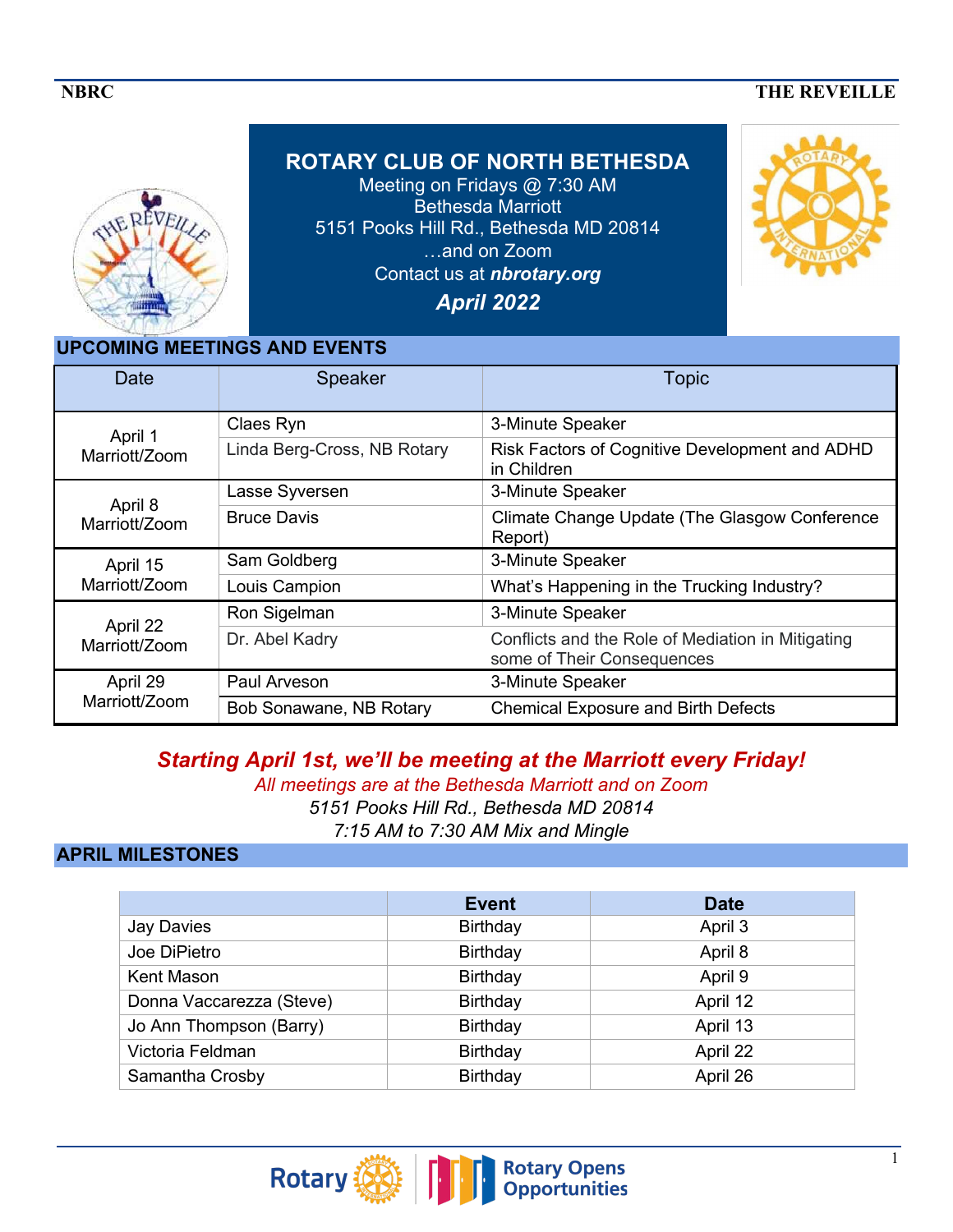#### **NBRC** THE REVEILLE



**ROTARY CLUB OF NORTH BETHESDA**  Meeting on Fridays @ 7:30 AM Bethesda Marriott 5151 Pooks Hill Rd., Bethesda MD 20814 …and on Zoom Contact us at *nbrotary.org*

*April 2022*



### **UPCOMING MEETINGS AND EVENTS**

| Date                      | Speaker                     | <b>Topic</b>                                                                    |
|---------------------------|-----------------------------|---------------------------------------------------------------------------------|
| April 1<br>Marriott/Zoom  | Claes Ryn                   | 3-Minute Speaker                                                                |
|                           | Linda Berg-Cross, NB Rotary | Risk Factors of Cognitive Development and ADHD<br>in Children                   |
| April 8<br>Marriott/Zoom  | Lasse Syversen              | 3-Minute Speaker                                                                |
|                           | <b>Bruce Davis</b>          | Climate Change Update (The Glasgow Conference<br>Report)                        |
| April 15<br>Marriott/Zoom | Sam Goldberg                | 3-Minute Speaker                                                                |
|                           | Louis Campion               | What's Happening in the Trucking Industry?                                      |
| April 22<br>Marriott/Zoom | Ron Sigelman                | 3-Minute Speaker                                                                |
|                           | Dr. Abel Kadry              | Conflicts and the Role of Mediation in Mitigating<br>some of Their Consequences |
| April 29<br>Marriott/Zoom | Paul Arveson                | 3-Minute Speaker                                                                |
|                           | Bob Sonawane, NB Rotary     | <b>Chemical Exposure and Birth Defects</b>                                      |

*Starting April 1st, we'll be meeting at the Marriott every Friday!* 

*All meetings are at the Bethesda Marriott and on Zoom 5151 Pooks Hill Rd., Bethesda MD 20814 7:15 AM to 7:30 AM Mix and Mingle*

### **APRIL MILESTONES**

|                          | <b>Event</b> | <b>Date</b> |
|--------------------------|--------------|-------------|
| Jay Davies               | Birthday     | April 3     |
| Joe DiPietro             | Birthday     | April 8     |
| <b>Kent Mason</b>        | Birthday     | April 9     |
| Donna Vaccarezza (Steve) | Birthday     | April 12    |
| Jo Ann Thompson (Barry)  | Birthday     | April 13    |
| Victoria Feldman         | Birthday     | April 22    |
| Samantha Crosby          | Birthday     | April 26    |

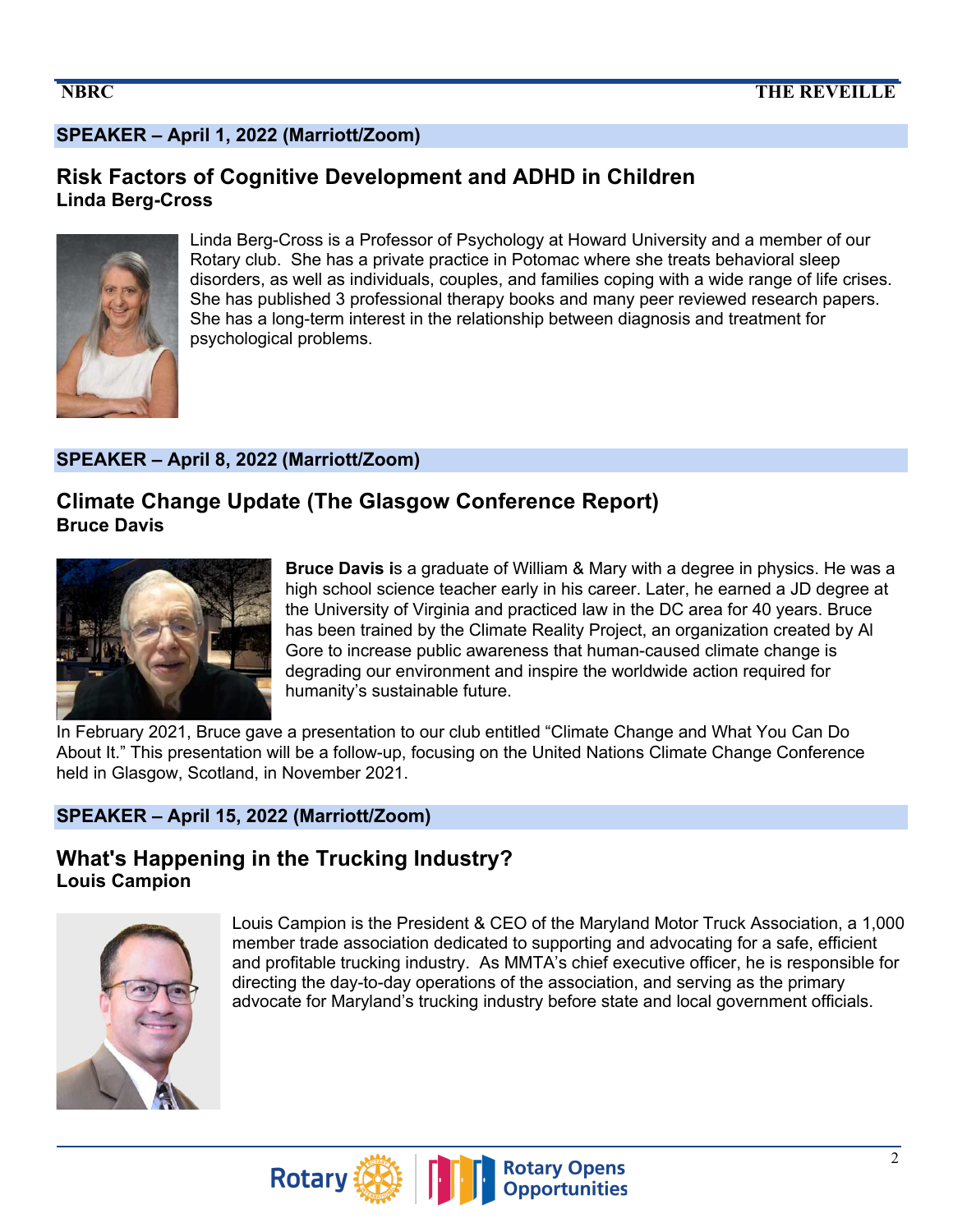# **SPEAKER – April 1, 2022 (Marriott/Zoom)**

### **Risk Factors of Cognitive Development and ADHD in Children Linda Berg-Cross**



Linda Berg-Cross is a Professor of Psychology at Howard University and a member of our Rotary club. She has a private practice in Potomac where she treats behavioral sleep disorders, as well as individuals, couples, and families coping with a wide range of life crises. She has published 3 professional therapy books and many peer reviewed research papers. She has a long-term interest in the relationship between diagnosis and treatment for psychological problems.

#### **SPEAKER – April 8, 2022 (Marriott/Zoom)**

# **Climate Change Update (The Glasgow Conference Report) Bruce Davis**



**Bruce Davis i**s a graduate of William & Mary with a degree in physics. He was a high school science teacher early in his career. Later, he earned a JD degree at the University of Virginia and practiced law in the DC area for 40 years. Bruce has been trained by the Climate Reality Project, an organization created by Al Gore to increase public awareness that human-caused climate change is degrading our environment and inspire the worldwide action required for humanity's sustainable future.

In February 2021, Bruce gave a presentation to our club entitled "Climate Change and What You Can Do About It." This presentation will be a follow-up, focusing on the United Nations Climate Change Conference held in Glasgow, Scotland, in November 2021.

### **SPEAKER – April 15, 2022 (Marriott/Zoom)**

# **What's Happening in the Trucking Industry? Louis Campion**



Louis Campion is the President & CEO of the Maryland Motor Truck Association, a 1,000 member trade association dedicated to supporting and advocating for a safe, efficient and profitable trucking industry. As MMTA's chief executive officer, he is responsible for directing the day-to-day operations of the association, and serving as the primary advocate for Maryland's trucking industry before state and local government officials.

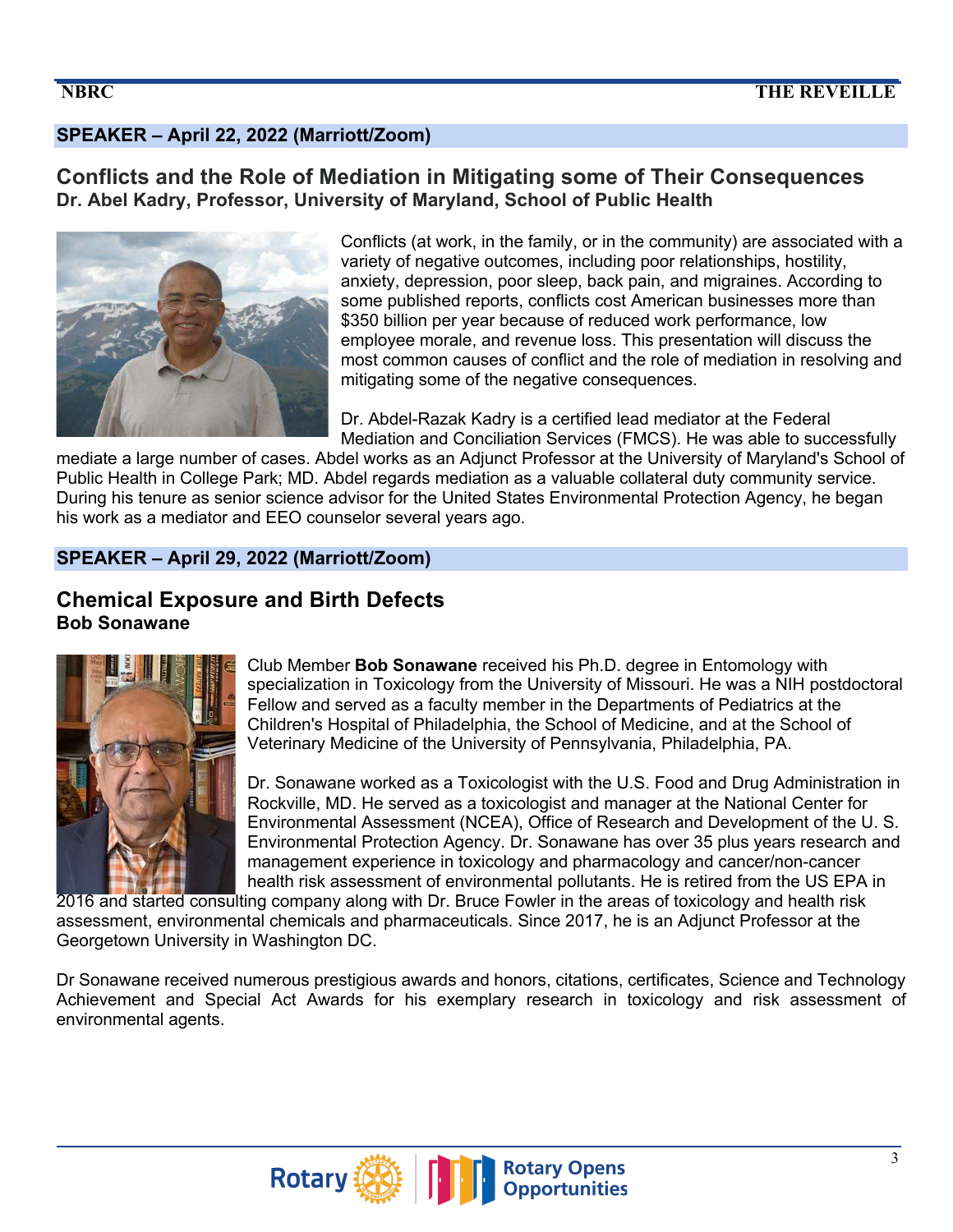# **SPEAKER – April 22, 2022 (Marriott/Zoom)**

### **Conflicts and the Role of Mediation in Mitigating some of Their Consequences Dr. Abel Kadry, Professor, University of Maryland, School of Public Health**



Conflicts (at work, in the family, or in the community) are associated with a variety of negative outcomes, including poor relationships, hostility, anxiety, depression, poor sleep, back pain, and migraines. According to some published reports, conflicts cost American businesses more than \$350 billion per year because of reduced work performance, low employee morale, and revenue loss. This presentation will discuss the most common causes of conflict and the role of mediation in resolving and mitigating some of the negative consequences.

Dr. Abdel-Razak Kadry is a certified lead mediator at the Federal Mediation and Conciliation Services (FMCS). He was able to successfully

mediate a large number of cases. Abdel works as an Adjunct Professor at the University of Maryland's School of Public Health in College Park; MD. Abdel regards mediation as a valuable collateral duty community service. During his tenure as senior science advisor for the United States Environmental Protection Agency, he began his work as a mediator and EEO counselor several years ago.

### **SPEAKER – April 29, 2022 (Marriott/Zoom)**

# **Chemical Exposure and Birth Defects Bob Sonawane**



Club Member **Bob Sonawane** received his Ph.D. degree in Entomology with specialization in Toxicology from the University of Missouri. He was a NIH postdoctoral Fellow and served as a faculty member in the Departments of Pediatrics at the Children's Hospital of Philadelphia, the School of Medicine, and at the School of Veterinary Medicine of the University of Pennsylvania, Philadelphia, PA.

Dr. Sonawane worked as a Toxicologist with the U.S. Food and Drug Administration in Rockville, MD. He served as a toxicologist and manager at the National Center for Environmental Assessment (NCEA), Office of Research and Development of the U. S. Environmental Protection Agency. Dr. Sonawane has over 35 plus years research and management experience in toxicology and pharmacology and cancer/non-cancer health risk assessment of environmental pollutants. He is retired from the US EPA in

2016 and started consulting company along with Dr. Bruce Fowler in the areas of toxicology and health risk assessment, environmental chemicals and pharmaceuticals. Since 2017, he is an Adjunct Professor at the Georgetown University in Washington DC.

Dr Sonawane received numerous prestigious awards and honors, citations, certificates, Science and Technology Achievement and Special Act Awards for his exemplary research in toxicology and risk assessment of environmental agents.

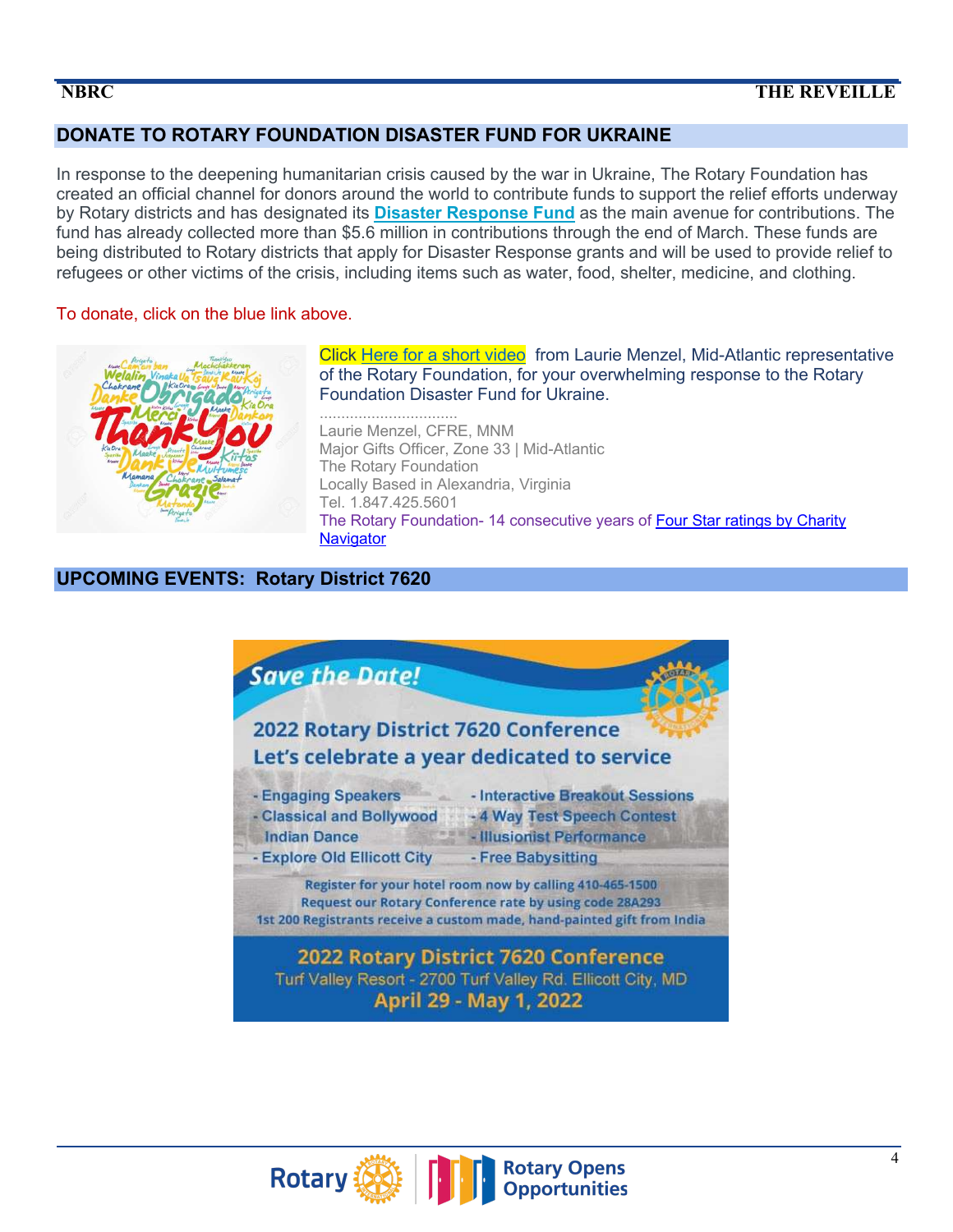### **DONATE TO ROTARY FOUNDATION DISASTER FUND FOR UKRAINE**

In response to the deepening humanitarian crisis caused by the war in Ukraine, The Rotary Foundation has created an official channel for donors around the world to contribute funds to support the relief efforts underway by Rotary districts and has designated its **Disaster Response Fund** as the main avenue for contributions. The fund has already collected more than \$5.6 million in contributions through the end of March. These funds are being distributed to Rotary districts that apply for Disaster Response grants and will be used to provide relief to refugees or other victims of the crisis, including items such as water, food, shelter, medicine, and clothing. 

#### To donate, click on the blue link above.



Click Here for a short video from Laurie Menzel, Mid-Atlantic representative of the Rotary Foundation, for your overwhelming response to the Rotary Foundation Disaster Fund for Ukraine.

................................ Laurie Menzel, CFRE, MNM Major Gifts Officer, Zone 33 | Mid-Atlantic The Rotary Foundation Locally Based in Alexandria, Virginia Tel. 1.847.425.5601 The Rotary Foundation- 14 consecutive years of Four Star ratings by Charity **Navigator** 

#### **UPCOMING EVENTS: Rotary District 7620**



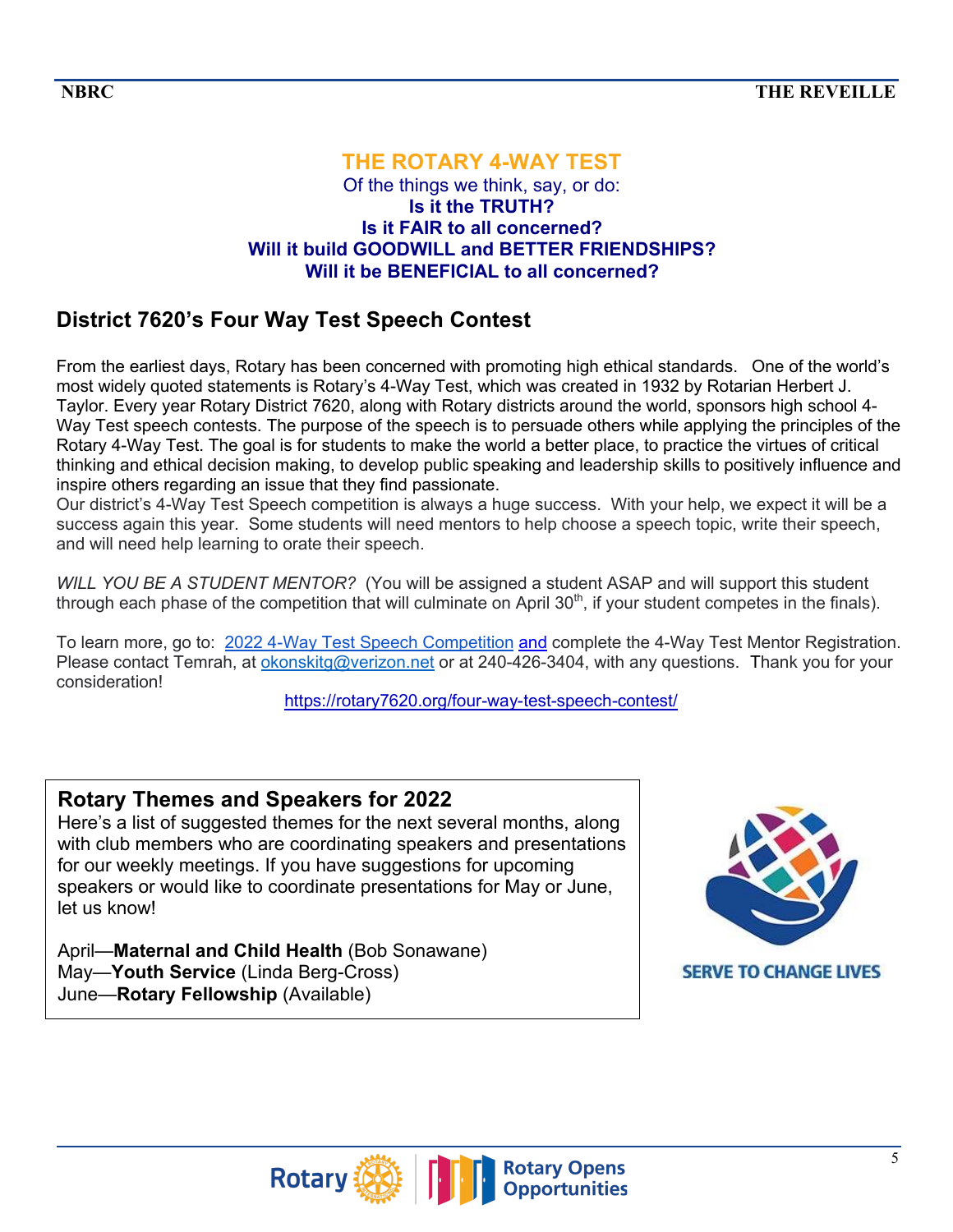#### **THE ROTARY 4-WAY TEST** Of the things we think, say, or do: **Is it the TRUTH? Is it FAIR to all concerned? Will it build GOODWILL and BETTER FRIENDSHIPS? Will it be BENEFICIAL to all concerned?**

# **District 7620's Four Way Test Speech Contest**

From the earliest days, Rotary has been concerned with promoting high ethical standards. One of the world's most widely quoted statements is Rotary's 4-Way Test, which was created in 1932 by Rotarian Herbert J. Taylor. Every year Rotary District 7620, along with Rotary districts around the world, sponsors high school 4- Way Test speech contests. The purpose of the speech is to persuade others while applying the principles of the Rotary 4-Way Test. The goal is for students to make the world a better place, to practice the virtues of critical thinking and ethical decision making, to develop public speaking and leadership skills to positively influence and inspire others regarding an issue that they find passionate.

Our district's 4-Way Test Speech competition is always a huge success. With your help, we expect it will be a success again this year. Some students will need mentors to help choose a speech topic, write their speech, and will need help learning to orate their speech.

*WILL YOU BE A STUDENT MENTOR?* (You will be assigned a student ASAP and will support this student through each phase of the competition that will culminate on April  $30<sup>th</sup>$ , if your student competes in the finals).

To learn more, go to: 2022 4-Way Test Speech Competition and complete the 4-Way Test Mentor Registration. Please contact Temrah, at okonskitg@verizon.net or at 240-426-3404, with any questions. Thank you for your consideration!

https://rotary7620.org/four-way-test-speech-contest/

# **Rotary Themes and Speakers for 2022**

Here's a list of suggested themes for the next several months, along with club members who are coordinating speakers and presentations for our weekly meetings. If you have suggestions for upcoming speakers or would like to coordinate presentations for May or June, let us know!

April—**Maternal and Child Health** (Bob Sonawane) May—**Youth Service** (Linda Berg-Cross) June—**Rotary Fellowship** (Available)